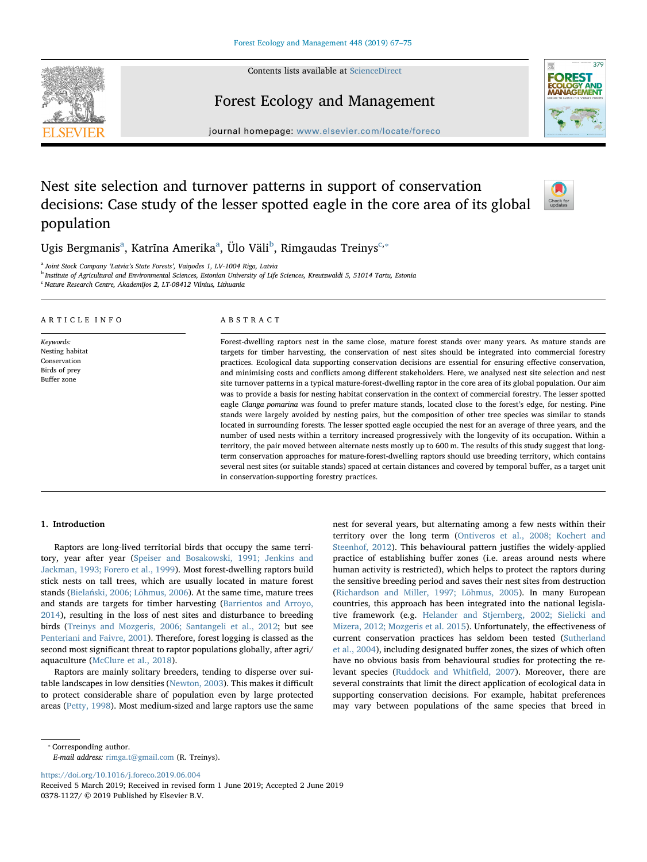Contents lists available at [ScienceDirect](http://www.sciencedirect.com/science/journal/03781127)



# Forest Ecology and Management



journal homepage: [www.elsevier.com/locate/foreco](https://www.elsevier.com/locate/foreco)

# Nest site selection and turnover patterns in support of conservation decisions: Case study of the lesser spotted eagle in the core area of its global population



Ugis Bergm[a](#page-0-0)nis<sup>a</sup>, Katrīna Amerika<sup>a</sup>, Ülo Väli<sup>[b](#page-0-1)</sup>, Rimgaudas Treinys<sup>c,</sup>\*

<span id="page-0-0"></span><sup>a</sup> Joint Stock Company 'Latvia's State Forests', Vaiņodes 1, LV-1004 Riga, Latvia

<span id="page-0-1"></span>**b Institute of Agricultural and Environmental Sciences, Estonian University of Life Sciences, Kreutzwaldi 5, 51014 Tartu, Estonia** 

<span id="page-0-2"></span><sup>c</sup> Nature Research Centre, Akademijos 2, LT-08412 Vilnius, Lithuania

#### ARTICLE INFO

Keywords: Nesting habitat Conservation Birds of prey Buffer zone

#### ABSTRACT

Forest-dwelling raptors nest in the same close, mature forest stands over many years. As mature stands are targets for timber harvesting, the conservation of nest sites should be integrated into commercial forestry practices. Ecological data supporting conservation decisions are essential for ensuring effective conservation, and minimising costs and conflicts among different stakeholders. Here, we analysed nest site selection and nest site turnover patterns in a typical mature-forest-dwelling raptor in the core area of its global population. Our aim was to provide a basis for nesting habitat conservation in the context of commercial forestry. The lesser spotted eagle Clanga pomarina was found to prefer mature stands, located close to the forest's edge, for nesting. Pine stands were largely avoided by nesting pairs, but the composition of other tree species was similar to stands located in surrounding forests. The lesser spotted eagle occupied the nest for an average of three years, and the number of used nests within a territory increased progressively with the longevity of its occupation. Within a territory, the pair moved between alternate nests mostly up to 600 m. The results of this study suggest that longterm conservation approaches for mature-forest-dwelling raptors should use breeding territory, which contains several nest sites (or suitable stands) spaced at certain distances and covered by temporal buffer, as a target unit in conservation-supporting forestry practices.

# 1. Introduction

Raptors are long-lived territorial birds that occupy the same territory, year after year [\(Speiser and Bosakowski, 1991; Jenkins and](#page-8-0) [Jackman, 1993; Forero et al., 1999](#page-8-0)). Most forest-dwelling raptors build stick nests on tall trees, which are usually located in mature forest stands (Bielań[ski, 2006; Lõhmus, 2006](#page-7-0)). At the same time, mature trees and stands are targets for timber harvesting ([Barrientos and Arroyo,](#page-7-1) [2014\)](#page-7-1), resulting in the loss of nest sites and disturbance to breeding birds [\(Treinys and Mozgeris, 2006; Santangeli et al., 2012;](#page-8-1) but see [Penteriani and Faivre, 2001\)](#page-7-2). Therefore, forest logging is classed as the second most significant threat to raptor populations globally, after agri/ aquaculture [\(McClure et al., 2018](#page-7-3)).

Raptors are mainly solitary breeders, tending to disperse over suitable landscapes in low densities [\(Newton, 2003\)](#page-7-4). This makes it difficult to protect considerable share of population even by large protected areas [\(Petty, 1998\)](#page-7-5). Most medium-sized and large raptors use the same nest for several years, but alternating among a few nests within their territory over the long term ([Ontiveros et al., 2008; Kochert and](#page-7-6) [Steenhof, 2012\)](#page-7-6). This behavioural pattern justifies the widely-applied practice of establishing buffer zones (i.e. areas around nests where human activity is restricted), which helps to protect the raptors during the sensitive breeding period and saves their nest sites from destruction ([Richardson and Miller, 1997; Lõhmus, 2005\)](#page-8-2). In many European countries, this approach has been integrated into the national legislative framework (e.g. [Helander and Stjernberg, 2002; Sielicki and](#page-7-7) [Mizera, 2012; Mozgeris et al. 2015](#page-7-7)). Unfortunately, the effectiveness of current conservation practices has seldom been tested [\(Sutherland](#page-8-3) [et al., 2004](#page-8-3)), including designated buffer zones, the sizes of which often have no obvious basis from behavioural studies for protecting the relevant species ([Ruddock and Whit](#page-8-4)field, 2007). Moreover, there are several constraints that limit the direct application of ecological data in supporting conservation decisions. For example, habitat preferences may vary between populations of the same species that breed in

E-mail address: [rimga.t@gmail.com](mailto:rimga.t@gmail.com) (R. Treinys).

<https://doi.org/10.1016/j.foreco.2019.06.004>

Received 5 March 2019; Received in revised form 1 June 2019; Accepted 2 June 2019 0378-1127/ © 2019 Published by Elsevier B.V.

<span id="page-0-3"></span><sup>⁎</sup> Corresponding author.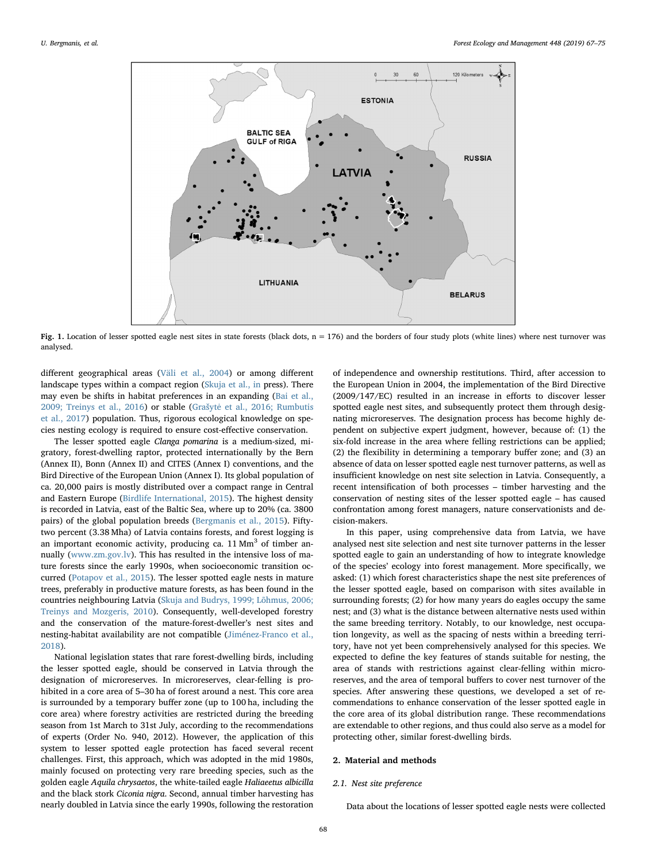<span id="page-1-0"></span>

Fig. 1. Location of lesser spotted eagle nest sites in state forests (black dots,  $n = 176$ ) and the borders of four study plots (white lines) where nest turnover was analysed.

different geographical areas ([Väli et al., 2004\)](#page-8-5) or among different landscape types within a compact region ([Skuja et al., in](#page-8-6) press). There may even be shifts in habitat preferences in an expanding ([Bai et al.,](#page-7-8) [2009; Treinys et al., 2016\)](#page-7-8) or stable (Grašytė [et al., 2016; Rumbutis](#page-7-9) [et al., 2017](#page-7-9)) population. Thus, rigorous ecological knowledge on species nesting ecology is required to ensure cost-effective conservation.

The lesser spotted eagle Clanga pomarina is a medium-sized, migratory, forest-dwelling raptor, protected internationally by the Bern (Annex II), Bonn (Annex II) and CITES (Annex I) conventions, and the Bird Directive of the European Union (Annex I). Its global population of ca. 20,000 pairs is mostly distributed over a compact range in Central and Eastern Europe [\(Birdlife International, 2015\)](#page-7-10). The highest density is recorded in Latvia, east of the Baltic Sea, where up to 20% (ca. 3800 pairs) of the global population breeds [\(Bergmanis et al., 2015\)](#page-7-11). Fiftytwo percent (3.38 Mha) of Latvia contains forests, and forest logging is an important economic activity, producing ca.  $11 \text{ Mm}^3$  of timber annually [\(www.zm.gov.lv\)](http://www.zm.gov.lv). This has resulted in the intensive loss of mature forests since the early 1990s, when socioeconomic transition occurred [\(Potapov et al., 2015](#page-8-7)). The lesser spotted eagle nests in mature trees, preferably in productive mature forests, as has been found in the countries neighbouring Latvia [\(Skuja and Budrys, 1999; Lõhmus, 2006;](#page-8-8) [Treinys and Mozgeris, 2010\)](#page-8-8). Consequently, well-developed forestry and the conservation of the mature-forest-dweller's nest sites and nesting-habitat availability are not compatible ([Jiménez-Franco et al.,](#page-7-12) [2018\)](#page-7-12).

National legislation states that rare forest-dwelling birds, including the lesser spotted eagle, should be conserved in Latvia through the designation of microreserves. In microreserves, clear-felling is prohibited in a core area of 5–30 ha of forest around a nest. This core area is surrounded by a temporary buffer zone (up to 100 ha, including the core area) where forestry activities are restricted during the breeding season from 1st March to 31st July, according to the recommendations of experts (Order No. 940, 2012). However, the application of this system to lesser spotted eagle protection has faced several recent challenges. First, this approach, which was adopted in the mid 1980s, mainly focused on protecting very rare breeding species, such as the golden eagle Aquila chrysaetos, the white-tailed eagle Haliaeetus albicilla and the black stork Ciconia nigra. Second, annual timber harvesting has nearly doubled in Latvia since the early 1990s, following the restoration of independence and ownership restitutions. Third, after accession to the European Union in 2004, the implementation of the Bird Directive (2009/147/EC) resulted in an increase in efforts to discover lesser spotted eagle nest sites, and subsequently protect them through designating microreserves. The designation process has become highly dependent on subjective expert judgment, however, because of: (1) the six-fold increase in the area where felling restrictions can be applied; (2) the flexibility in determining a temporary buffer zone; and (3) an absence of data on lesser spotted eagle nest turnover patterns, as well as insufficient knowledge on nest site selection in Latvia. Consequently, a recent intensification of both processes – timber harvesting and the conservation of nesting sites of the lesser spotted eagle – has caused confrontation among forest managers, nature conservationists and decision-makers.

In this paper, using comprehensive data from Latvia, we have analysed nest site selection and nest site turnover patterns in the lesser spotted eagle to gain an understanding of how to integrate knowledge of the species' ecology into forest management. More specifically, we asked: (1) which forest characteristics shape the nest site preferences of the lesser spotted eagle, based on comparison with sites available in surrounding forests; (2) for how many years do eagles occupy the same nest; and (3) what is the distance between alternative nests used within the same breeding territory. Notably, to our knowledge, nest occupation longevity, as well as the spacing of nests within a breeding territory, have not yet been comprehensively analysed for this species. We expected to define the key features of stands suitable for nesting, the area of stands with restrictions against clear-felling within microreserves, and the area of temporal buffers to cover nest turnover of the species. After answering these questions, we developed a set of recommendations to enhance conservation of the lesser spotted eagle in the core area of its global distribution range. These recommendations are extendable to other regions, and thus could also serve as a model for protecting other, similar forest-dwelling birds.

# 2. Material and methods

#### 2.1. Nest site preference

Data about the locations of lesser spotted eagle nests were collected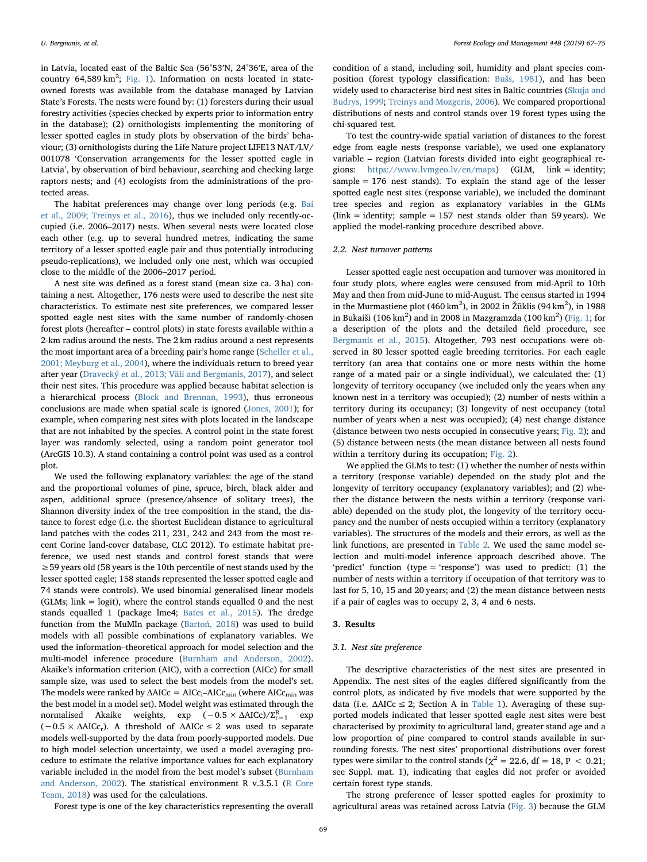in Latvia, located east of the Baltic Sea (56°53′N, 24°36′E, area of the country  $64,589 \text{ km}^2$ ; [Fig. 1\)](#page-1-0). Information on nests located in stateowned forests was available from the database managed by Latvian State's Forests. The nests were found by: (1) foresters during their usual forestry activities (species checked by experts prior to information entry in the database); (2) ornithologists implementing the monitoring of lesser spotted eagles in study plots by observation of the birds' behaviour; (3) ornithologists during the Life Nature project LIFE13 NAT/LV/ 001078 'Conservation arrangements for the lesser spotted eagle in Latvia', by observation of bird behaviour, searching and checking large raptors nests; and (4) ecologists from the administrations of the protected areas.

The habitat preferences may change over long periods (e.g. [Bai](#page-7-8) [et al., 2009; Treinys et al., 2016](#page-7-8)), thus we included only recently-occupied (i.e. 2006–2017) nests. When several nests were located close each other (e.g. up to several hundred metres, indicating the same territory of a lesser spotted eagle pair and thus potentially introducing pseudo-replications), we included only one nest, which was occupied close to the middle of the 2006–2017 period.

A nest site was defined as a forest stand (mean size ca. 3 ha) containing a nest. Altogether, 176 nests were used to describe the nest site characteristics. To estimate nest site preferences, we compared lesser spotted eagle nest sites with the same number of randomly-chosen forest plots (hereafter – control plots) in state forests available within a 2-km radius around the nests. The 2 km radius around a nest represents the most important area of a breeding pair's home range [\(Scheller et al.,](#page-8-9) [2001; Meyburg et al., 2004\)](#page-8-9), where the individuals return to breed year after year ([Dravecký et al., 2013; Väli and Bergmanis, 2017](#page-7-13)), and select their nest sites. This procedure was applied because habitat selection is a hierarchical process [\(Block and Brennan, 1993\)](#page-7-14), thus erroneous conclusions are made when spatial scale is ignored ([Jones, 2001](#page-7-15)); for example, when comparing nest sites with plots located in the landscape that are not inhabited by the species. A control point in the state forest layer was randomly selected, using a random point generator tool (ArcGIS 10.3). A stand containing a control point was used as a control plot.

We used the following explanatory variables: the age of the stand and the proportional volumes of pine, spruce, birch, black alder and aspen, additional spruce (presence/absence of solitary trees), the Shannon diversity index of the tree composition in the stand, the distance to forest edge (i.e. the shortest Euclidean distance to agricultural land patches with the codes 211, 231, 242 and 243 from the most recent Corine land-cover database, CLC 2012). To estimate habitat preference, we used nest stands and control forest stands that were ≥59 years old (58 years is the 10th percentile of nest stands used by the lesser spotted eagle; 158 stands represented the lesser spotted eagle and 74 stands were controls). We used binomial generalised linear models (GLMs; link = logit), where the control stands equalled 0 and the nest stands equalled 1 (package lme4; [Bates et al., 2015\)](#page-7-16). The dredge function from the MuMIn package (Bartoń[, 2018\)](#page-7-17) was used to build models with all possible combinations of explanatory variables. We used the information–theoretical approach for model selection and the multi-model inference procedure [\(Burnham and Anderson, 2002](#page-7-18)). Akaike's information criterion (AIC), with a correction (AICc) for small sample size, was used to select the best models from the model's set. The models were ranked by  $\Delta AICc = AICc_i - AICc_{min}$  (where  $AICc_{min}$  was the best model in a model set). Model weight was estimated through the normalised Akaike weights, exp  $(-0.5 \times \Delta AICc)/\Sigma_{r=1}^R$  exp  $(-0.5 \times \Delta AICc_r)$ . A threshold of  $\Delta AICc \leq 2$  was used to separate models well-supported by the data from poorly-supported models. Due to high model selection uncertainty, we used a model averaging procedure to estimate the relative importance values for each explanatory variable included in the model from the best model's subset [\(Burnham](#page-7-18) [and Anderson, 2002\)](#page-7-18). The statistical environment R v.3.5.1 [\(R Core](#page-8-10) [Team, 2018\)](#page-8-10) was used for the calculations.

condition of a stand, including soil, humidity and plant species composition (forest typology classification: Buš[s, 1981](#page-7-19)), and has been widely used to characterise bird nest sites in Baltic countries [\(Skuja and](#page-8-8) [Budrys, 1999](#page-8-8); [Treinys and Mozgeris, 2006](#page-8-1)). We compared proportional distributions of nests and control stands over 19 forest types using the chi-squared test.

To test the country-wide spatial variation of distances to the forest edge from eagle nests (response variable), we used one explanatory variable – region (Latvian forests divided into eight geographical regions: <https://www.lvmgeo.lv/en/maps>) (GLM, link = identity; sample  $= 176$  nest stands). To explain the stand age of the lesser spotted eagle nest sites (response variable), we included the dominant tree species and region as explanatory variables in the GLMs (link = identity; sample = 157 nest stands older than 59 years). We applied the model-ranking procedure described above.

# 2.2. Nest turnover patterns

Lesser spotted eagle nest occupation and turnover was monitored in four study plots, where eagles were censused from mid-April to 10th May and then from mid-June to mid-August. The census started in 1994 in the Murmastiene plot (460 km<sup>2</sup>), in 2002 in Žūklis (94 km<sup>2</sup>), in 1988 in Bukaiši (106 km<sup>2</sup>) and in 2008 in Mazgramzda (100 km<sup>2</sup>) [\(Fig. 1](#page-1-0); for a description of the plots and the detailed field procedure, see [Bergmanis et al., 2015\)](#page-7-11). Altogether, 793 nest occupations were observed in 80 lesser spotted eagle breeding territories. For each eagle territory (an area that contains one or more nests within the home range of a mated pair or a single individual), we calculated the: (1) longevity of territory occupancy (we included only the years when any known nest in a territory was occupied); (2) number of nests within a territory during its occupancy; (3) longevity of nest occupancy (total number of years when a nest was occupied); (4) nest change distance (distance between two nests occupied in consecutive years; [Fig. 2](#page-3-0)); and (5) distance between nests (the mean distance between all nests found within a territory during its occupation; [Fig. 2\)](#page-3-0).

We applied the GLMs to test: (1) whether the number of nests within a territory (response variable) depended on the study plot and the longevity of territory occupancy (explanatory variables); and (2) whether the distance between the nests within a territory (response variable) depended on the study plot, the longevity of the territory occupancy and the number of nests occupied within a territory (explanatory variables). The structures of the models and their errors, as well as the link functions, are presented in [Table 2](#page-5-0). We used the same model selection and multi-model inference approach described above. The 'predict' function (type = 'response') was used to predict: (1) the number of nests within a territory if occupation of that territory was to last for 5, 10, 15 and 20 years; and (2) the mean distance between nests if a pair of eagles was to occupy 2, 3, 4 and 6 nests.

#### 3. Results

# 3.1. Nest site preference

The descriptive characteristics of the nest sites are presented in Appendix. The nest sites of the eagles differed significantly from the control plots, as indicated by five models that were supported by the data (i.e.  $\triangle$ AICc  $\leq$  2; Section A in [Table 1](#page-3-1)). Averaging of these supported models indicated that lesser spotted eagle nest sites were best characterised by proximity to agricultural land, greater stand age and a low proportion of pine compared to control stands available in surrounding forests. The nest sites' proportional distributions over forest types were similar to the control stands ( $\chi^2$  = 22.6, df = 18, P < 0.21; see Suppl. mat. 1), indicating that eagles did not prefer or avoided certain forest type stands.

The strong preference of lesser spotted eagles for proximity to agricultural areas was retained across Latvia ([Fig. 3](#page-4-0)) because the GLM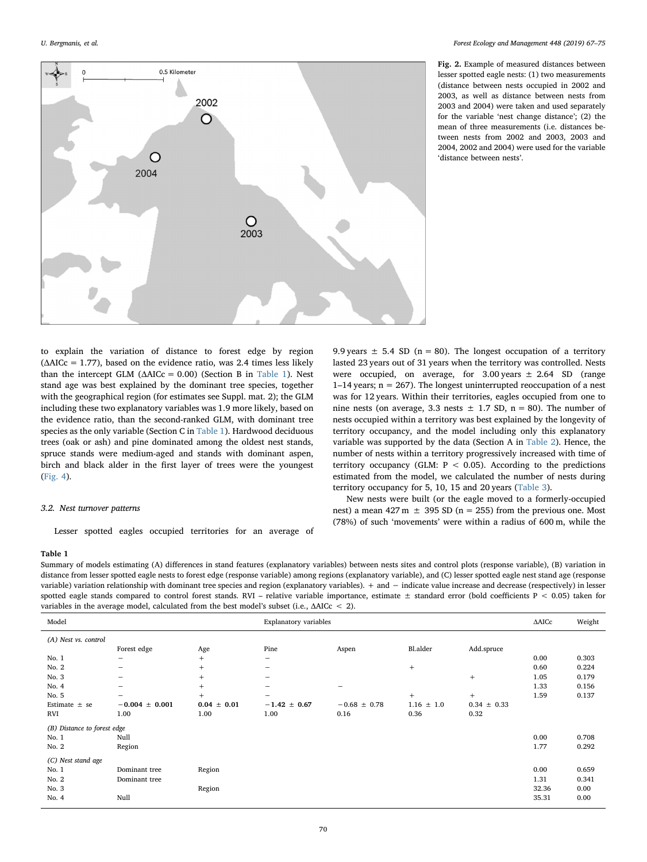<span id="page-3-0"></span>

Fig. 2. Example of measured distances between lesser spotted eagle nests: (1) two measurements (distance between nests occupied in 2002 and 2003, as well as distance between nests from 2003 and 2004) were taken and used separately for the variable 'nest change distance'; (2) the mean of three measurements (i.e. distances between nests from 2002 and 2003, 2003 and 2004, 2002 and 2004) were used for the variable 'distance between nests'.

to explain the variation of distance to forest edge by region  $(\Delta AICc = 1.77)$ , based on the evidence ratio, was 2.4 times less likely than the intercept GLM ( $\triangle$ AICc = 0.00) (Section B in [Table 1](#page-3-1)). Nest stand age was best explained by the dominant tree species, together with the geographical region (for estimates see Suppl. mat. 2); the GLM including these two explanatory variables was 1.9 more likely, based on the evidence ratio, than the second-ranked GLM, with dominant tree species as the only variable (Section C in [Table 1\)](#page-3-1). Hardwood deciduous trees (oak or ash) and pine dominated among the oldest nest stands, spruce stands were medium-aged and stands with dominant aspen, birch and black alder in the first layer of trees were the youngest ([Fig. 4\)](#page-4-1).

# 3.2. Nest turnover patterns

Lesser spotted eagles occupied territories for an average of

9.9 years  $\pm$  5.4 SD (n = 80). The longest occupation of a territory lasted 23 years out of 31 years when the territory was controlled. Nests were occupied, on average, for  $3.00 \text{ years} \pm 2.64$  SD (range 1–14 years;  $n = 267$ ). The longest uninterrupted reoccupation of a nest was for 12 years. Within their territories, eagles occupied from one to nine nests (on average, 3.3 nests  $\pm$  1.7 SD, n = 80). The number of nests occupied within a territory was best explained by the longevity of territory occupancy, and the model including only this explanatory variable was supported by the data (Section A in [Table 2\)](#page-5-0). Hence, the number of nests within a territory progressively increased with time of territory occupancy (GLM:  $P < 0.05$ ). According to the predictions estimated from the model, we calculated the number of nests during territory occupancy for 5, 10, 15 and 20 years ([Table 3](#page-5-1)).

New nests were built (or the eagle moved to a formerly-occupied nest) a mean  $427 \text{ m } \pm 395 \text{ SD}$  (n = 255) from the previous one. Most (78%) of such 'movements' were within a radius of 600 m, while the

# <span id="page-3-1"></span>Table 1

Summary of models estimating (A) differences in stand features (explanatory variables) between nests sites and control plots (response variable), (B) variation in distance from lesser spotted eagle nests to forest edge (response variable) among regions (explanatory variable), and (C) lesser spotted eagle nest stand age (response variable) variation relationship with dominant tree species and region (explanatory variables). + and − indicate value increase and decrease (respectively) in lesser spotted eagle stands compared to control forest stands. RVI – relative variable importance, estimate  $\pm$  standard error (bold coefficients P < 0.05) taken for variables in the average model, calculated from the best model's subset (i.e., ΔAICc < 2).

|                             | $\tilde{}$         |                 |                          |                          |                |                 |       |        |
|-----------------------------|--------------------|-----------------|--------------------------|--------------------------|----------------|-----------------|-------|--------|
| Model                       |                    |                 | Explanatory variables    |                          |                |                 |       | Weight |
| (A) Nest vs. control        |                    |                 |                          |                          |                |                 |       |        |
|                             | Forest edge        | Age             | Pine                     | Aspen                    | Bl.alder       | Add.spruce      |       |        |
| No.1                        | -                  | $^{+}$          | -                        |                          |                |                 | 0.00  | 0.303  |
| No. 2                       | -                  | $^{+}$          | $\overline{\phantom{0}}$ |                          | $\! +$         |                 | 0.60  | 0.224  |
| No. 3                       | -                  | $^{+}$          | -                        |                          |                | $+$             | 1.05  | 0.179  |
| No. 4                       | -                  | $^{+}$          | -                        | $\overline{\phantom{0}}$ |                |                 | 1.33  | 0.156  |
| No. 5                       | -                  | $+$             | $\overline{\phantom{m}}$ |                          | $+$            | $+$             | 1.59  | 0.137  |
| Estimate $\pm$ se           | $-0.004 \pm 0.001$ | $0.04 \pm 0.01$ | $-1.42 \pm 0.67$         | $-0.68 \pm 0.78$         | $1.16 \pm 1.0$ | $0.34 \pm 0.33$ |       |        |
| RVI                         | 1.00               | 1.00            | 1.00                     | 0.16                     | 0.36           | 0.32            |       |        |
| (B) Distance to forest edge |                    |                 |                          |                          |                |                 |       |        |
| No. 1                       | Null               |                 |                          |                          |                |                 | 0.00  | 0.708  |
| No. 2                       | Region             |                 |                          |                          |                |                 | 1.77  | 0.292  |
| (C) Nest stand age          |                    |                 |                          |                          |                |                 |       |        |
| No. 1                       | Dominant tree      | Region          |                          |                          |                |                 | 0.00  | 0.659  |
| No. 2                       | Dominant tree      |                 |                          |                          |                |                 | 1.31  | 0.341  |
| No. 3                       |                    | Region          |                          |                          |                |                 | 32.36 | 0.00   |
| No. 4                       | Null               |                 |                          |                          |                |                 | 35.31 | 0.00   |
|                             |                    |                 |                          |                          |                |                 |       |        |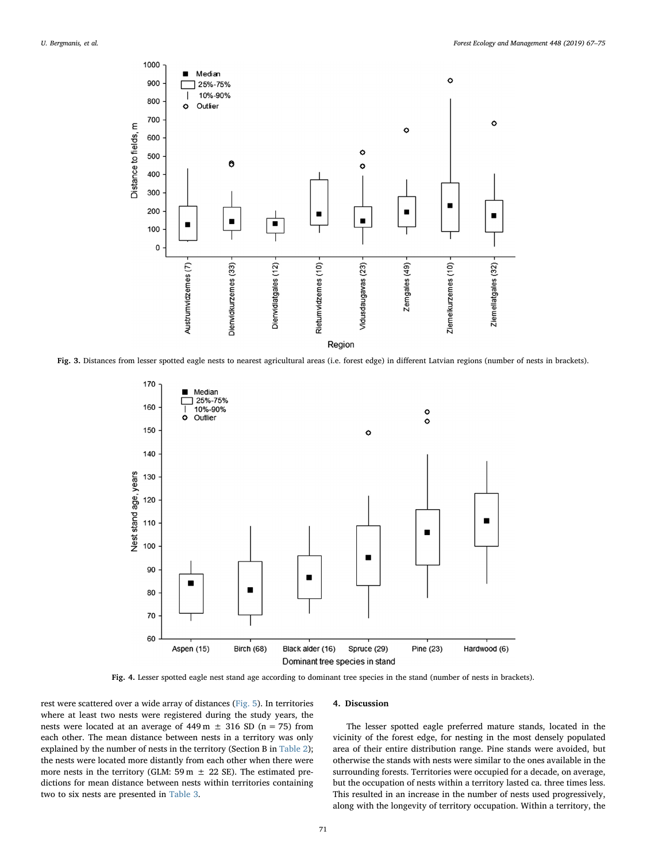<span id="page-4-0"></span>

<span id="page-4-1"></span>Fig. 3. Distances from lesser spotted eagle nests to nearest agricultural areas (i.e. forest edge) in different Latvian regions (number of nests in brackets).



Fig. 4. Lesser spotted eagle nest stand age according to dominant tree species in the stand (number of nests in brackets).

rest were scattered over a wide array of distances ([Fig. 5\)](#page-5-2). In territories where at least two nests were registered during the study years, the nests were located at an average of  $449 \text{ m } \pm 316 \text{ SD}$  (n = 75) from each other. The mean distance between nests in a territory was only explained by the number of nests in the territory (Section B in [Table 2](#page-5-0)); the nests were located more distantly from each other when there were more nests in the territory (GLM: 59 m  $\pm$  22 SE). The estimated predictions for mean distance between nests within territories containing two to six nests are presented in [Table 3.](#page-5-1)

# 4. Discussion

The lesser spotted eagle preferred mature stands, located in the vicinity of the forest edge, for nesting in the most densely populated area of their entire distribution range. Pine stands were avoided, but otherwise the stands with nests were similar to the ones available in the surrounding forests. Territories were occupied for a decade, on average, but the occupation of nests within a territory lasted ca. three times less. This resulted in an increase in the number of nests used progressively, along with the longevity of territory occupation. Within a territory, the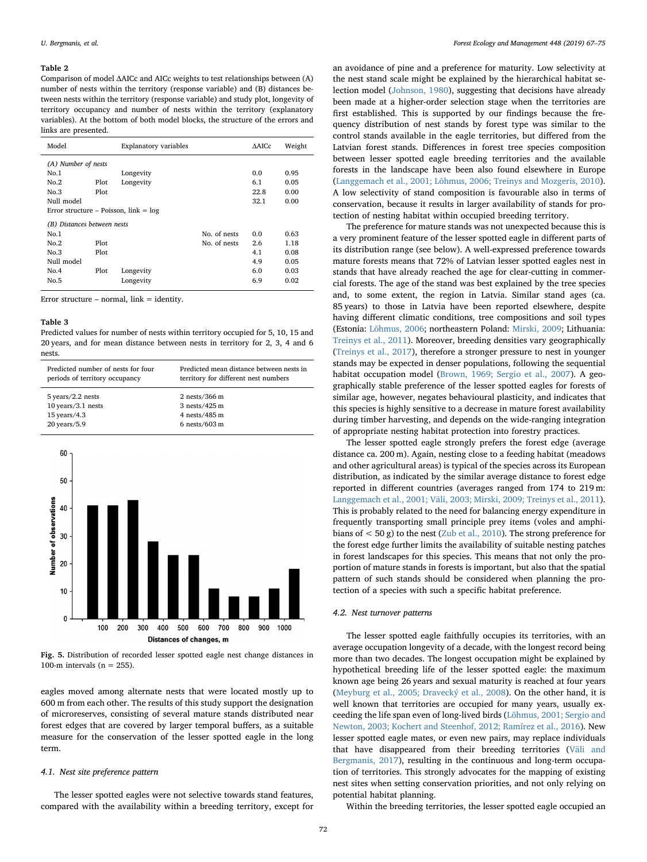#### <span id="page-5-0"></span>Table 2

Comparison of model ΔAICc and AICc weights to test relationships between (A) number of nests within the territory (response variable) and (B) distances between nests within the territory (response variable) and study plot, longevity of territory occupancy and number of nests within the territory (explanatory variables). At the bottom of both model blocks, the structure of the errors and links are presented.

| Model                                   |      | <b>Explanatory variables</b> |              | <b>AAICc</b> | Weight |  |  |
|-----------------------------------------|------|------------------------------|--------------|--------------|--------|--|--|
| (A) Number of nests                     |      |                              |              |              |        |  |  |
| No.1                                    |      | Longevity                    |              | 0.0          | 0.95   |  |  |
| No.2                                    | Plot | Longevity                    |              | 6.1          | 0.05   |  |  |
| No.3                                    | Plot |                              |              | 22.8         | 0.00   |  |  |
| Null model                              |      | 32.1                         | 0.00         |              |        |  |  |
| Error structure – Poisson, $link = log$ |      |                              |              |              |        |  |  |
| (B) Distances between nests             |      |                              |              |              |        |  |  |
| No.1                                    |      |                              | No. of nests | 0.0          | 0.63   |  |  |
| No.2                                    | Plot |                              | No. of nests | 2.6          | 1.18   |  |  |
| No.3                                    | Plot |                              |              | 4.1          | 0.08   |  |  |
| Null model                              |      |                              |              | 4.9          | 0.05   |  |  |
| No.4                                    | Plot | Longevity                    |              | 6.0          | 0.03   |  |  |
| No.5                                    |      | Longevity                    |              | 6.9          | 0.02   |  |  |

Error structure – normal,  $link = identity$ .

#### <span id="page-5-1"></span>Table 3

Predicted values for number of nests within territory occupied for 5, 10, 15 and 20 years, and for mean distance between nests in territory for 2, 3, 4 and 6 nests.

| Predicted number of nests for four | Predicted mean distance between nests in |
|------------------------------------|------------------------------------------|
| periods of territory occupancy     | territory for different nest numbers     |
| $5$ years/2.2 nests                | $2$ nests/366 m                          |
| $10$ years/3.1 nests               | $3$ nests/425 m                          |
| $15$ years/4.3                     | 4 nests/485 m                            |
| $20$ years/ $5.9$                  | $6$ nests/603 $m$                        |

<span id="page-5-2"></span>

Fig. 5. Distribution of recorded lesser spotted eagle nest change distances in 100-m intervals ( $n = 255$ ).

eagles moved among alternate nests that were located mostly up to 600 m from each other. The results of this study support the designation of microreserves, consisting of several mature stands distributed near forest edges that are covered by larger temporal buffers, as a suitable measure for the conservation of the lesser spotted eagle in the long term.

#### 4.1. Nest site preference pattern

The lesser spotted eagles were not selective towards stand features, compared with the availability within a breeding territory, except for

an avoidance of pine and a preference for maturity. Low selectivity at the nest stand scale might be explained by the hierarchical habitat selection model ([Johnson, 1980\)](#page-7-20), suggesting that decisions have already been made at a higher-order selection stage when the territories are first established. This is supported by our findings because the frequency distribution of nest stands by forest type was similar to the control stands available in the eagle territories, but differed from the Latvian forest stands. Differences in forest tree species composition between lesser spotted eagle breeding territories and the available forests in the landscape have been also found elsewhere in Europe ([Langgemach et al., 2001; Lõhmus, 2006; Treinys and Mozgeris, 2010](#page-7-21)). A low selectivity of stand composition is favourable also in terms of conservation, because it results in larger availability of stands for protection of nesting habitat within occupied breeding territory.

The preference for mature stands was not unexpected because this is a very prominent feature of the lesser spotted eagle in different parts of its distribution range (see below). A well-expressed preference towards mature forests means that 72% of Latvian lesser spotted eagles nest in stands that have already reached the age for clear-cutting in commercial forests. The age of the stand was best explained by the tree species and, to some extent, the region in Latvia. Similar stand ages (ca. 85 years) to those in Latvia have been reported elsewhere, despite having different climatic conditions, tree compositions and soil types (Estonia: [Lõhmus, 2006;](#page-7-22) northeastern Poland: [Mirski, 2009](#page-7-23); Lithuania: [Treinys et al., 2011](#page-8-11)). Moreover, breeding densities vary geographically ([Treinys et al., 2017](#page-8-12)), therefore a stronger pressure to nest in younger stands may be expected in denser populations, following the sequential habitat occupation model [\(Brown, 1969; Sergio et al., 2007](#page-7-24)). A geographically stable preference of the lesser spotted eagles for forests of similar age, however, negates behavioural plasticity, and indicates that this species is highly sensitive to a decrease in mature forest availability during timber harvesting, and depends on the wide-ranging integration of appropriate nesting habitat protection into forestry practices.

The lesser spotted eagle strongly prefers the forest edge (average distance ca. 200 m). Again, nesting close to a feeding habitat (meadows and other agricultural areas) is typical of the species across its European distribution, as indicated by the similar average distance to forest edge reported in different countries (averages ranged from 174 to 219 m: [Langgemach et al., 2001; Väli, 2003; Mirski, 2009; Treinys et al., 2011](#page-7-21)). This is probably related to the need for balancing energy expenditure in frequently transporting small principle prey items (voles and amphibians of  $\lt$  50 g) to the nest ([Zub et al., 2010\)](#page-8-13). The strong preference for the forest edge further limits the availability of suitable nesting patches in forest landscapes for this species. This means that not only the proportion of mature stands in forests is important, but also that the spatial pattern of such stands should be considered when planning the protection of a species with such a specific habitat preference.

#### 4.2. Nest turnover patterns

The lesser spotted eagle faithfully occupies its territories, with an average occupation longevity of a decade, with the longest record being more than two decades. The longest occupation might be explained by hypothetical breeding life of the lesser spotted eagle: the maximum known age being 26 years and sexual maturity is reached at four years ([Meyburg et al., 2005; Dravecký et al., 2008\)](#page-7-25). On the other hand, it is well known that territories are occupied for many years, usually exceeding the life span even of long-lived birds ([Lõhmus, 2001; Sergio and](#page-7-26) [Newton, 2003; Kochert and Steenhof, 2012; Ramírez et al., 2016](#page-7-26)). New lesser spotted eagle mates, or even new pairs, may replace individuals that have disappeared from their breeding territories [\(Väli and](#page-8-14) [Bergmanis, 2017\)](#page-8-14), resulting in the continuous and long-term occupation of territories. This strongly advocates for the mapping of existing nest sites when setting conservation priorities, and not only relying on potential habitat planning.

Within the breeding territories, the lesser spotted eagle occupied an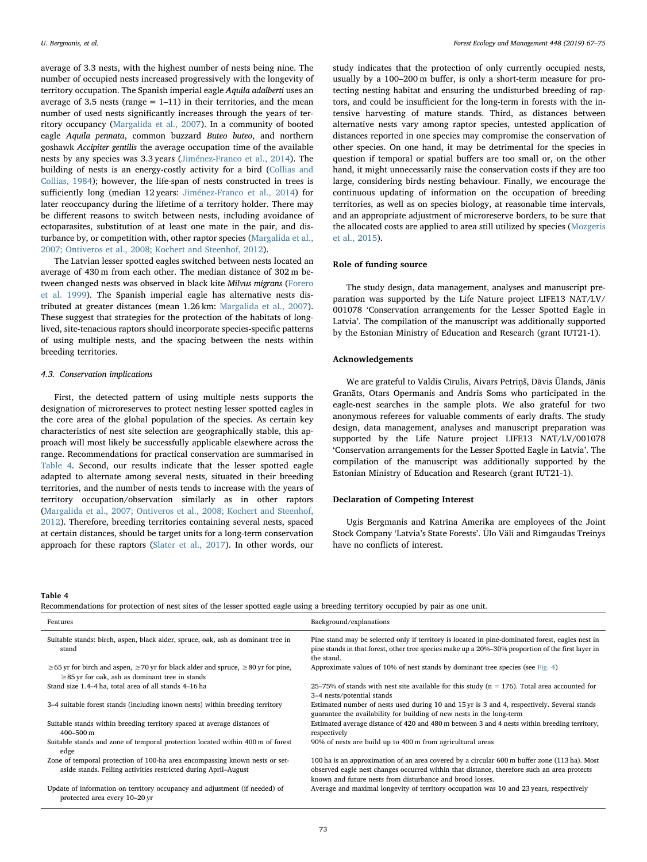average of 3.3 nests, with the highest number of nests being nine. The number of occupied nests increased progressively with the longevity of territory occupation. The Spanish imperial eagle Aquila adalberti uses an average of 3.5 nests (range  $= 1-11$ ) in their territories, and the mean number of used nests significantly increases through the years of territory occupancy [\(Margalida et al., 2007](#page-7-27)). In a community of booted eagle Aquila pennata, common buzzard Buteo buteo, and northern goshawk Accipiter gentilis the average occupation time of the available nests by any species was 3.3 years ([Jiménez-Franco et al., 2014](#page-7-28)). The building of nests is an energy-costly activity for a bird [\(Collias and](#page-7-29) [Collias, 1984\)](#page-7-29); however, the life-span of nests constructed in trees is sufficiently long (median 12 years: [Jiménez-Franco et al., 2014\)](#page-7-28) for later reoccupancy during the lifetime of a territory holder. There may be different reasons to switch between nests, including avoidance of ectoparasites, substitution of at least one mate in the pair, and disturbance by, or competition with, other raptor species [\(Margalida et al.,](#page-7-27) [2007; Ontiveros et al., 2008; Kochert and Steenhof, 2012](#page-7-27)).

The Latvian lesser spotted eagles switched between nests located an average of 430 m from each other. The median distance of 302 m between changed nests was observed in black kite Milvus migrans ([Forero](#page-7-30) [et al. 1999\)](#page-7-30). The Spanish imperial eagle has alternative nests distributed at greater distances (mean 1.26 km: [Margalida et al., 2007](#page-7-27)). These suggest that strategies for the protection of the habitats of longlived, site-tenacious raptors should incorporate species-specific patterns of using multiple nests, and the spacing between the nests within breeding territories.

# 4.3. Conservation implications

First, the detected pattern of using multiple nests supports the designation of microreserves to protect nesting lesser spotted eagles in the core area of the global population of the species. As certain key characteristics of nest site selection are geographically stable, this approach will most likely be successfully applicable elsewhere across the range. Recommendations for practical conservation are summarised in [Table 4](#page-6-0). Second, our results indicate that the lesser spotted eagle adapted to alternate among several nests, situated in their breeding territories, and the number of nests tends to increase with the years of territory occupation/observation similarly as in other raptors ([Margalida et al., 2007; Ontiveros et al., 2008; Kochert and Steenhof,](#page-7-27) [2012\)](#page-7-27). Therefore, breeding territories containing several nests, spaced at certain distances, should be target units for a long-term conservation approach for these raptors [\(Slater et al., 2017\)](#page-8-15). In other words, our study indicates that the protection of only currently occupied nests, usually by a 100–200 m buffer, is only a short-term measure for protecting nesting habitat and ensuring the undisturbed breeding of raptors, and could be insufficient for the long-term in forests with the intensive harvesting of mature stands. Third, as distances between alternative nests vary among raptor species, untested application of distances reported in one species may compromise the conservation of other species. On one hand, it may be detrimental for the species in question if temporal or spatial buffers are too small or, on the other hand, it might unnecessarily raise the conservation costs if they are too large, considering birds nesting behaviour. Finally, we encourage the continuous updating of information on the occupation of breeding territories, as well as on species biology, at reasonable time intervals, and an appropriate adjustment of microreserve borders, to be sure that the allocated costs are applied to area still utilized by species ([Mozgeris](#page-7-31) et [al., 2015](#page-7-31)).

# Role of funding source

The study design, data management, analyses and manuscript preparation was supported by the Life Nature project LIFE13 NAT/LV/ 001078 'Conservation arrangements for the Lesser Spotted Eagle in Latvia'. The compilation of the manuscript was additionally supported by the Estonian Ministry of Education and Research (grant IUT21-1).

# Acknowledgements

We are grateful to Valdis Cīrulis, Aivars Petriņš, Dāvis Ūlands, Jānis Granāts, Otars Opermanis and Andris Soms who participated in the eagle-nest searches in the sample plots. We also grateful for two anonymous referees for valuable comments of early drafts. The study design, data management, analyses and manuscript preparation was supported by the Life Nature project LIFE13 NAT/LV/001078 'Conservation arrangements for the Lesser Spotted Eagle in Latvia'. The compilation of the manuscript was additionally supported by the Estonian Ministry of Education and Research (grant IUT21-1).

# Declaration of Competing Interest

Ugis Bergmanis and Katrīna Amerika are employees of the Joint Stock Company 'Latvia's State Forests'. Ülo Väli and Rimgaudas Treinys have no conflicts of interest.

#### <span id="page-6-0"></span>Table 4

Recommendations for protection of nest sites of the lesser spotted eagle using a breeding territory occupied by pair as one unit.

| Features                                                                                                                                                  | Background/explanations                                                                                                                                                                                                                                 |
|-----------------------------------------------------------------------------------------------------------------------------------------------------------|---------------------------------------------------------------------------------------------------------------------------------------------------------------------------------------------------------------------------------------------------------|
| Suitable stands: birch, aspen, black alder, spruce, oak, ash as dominant tree in<br>stand                                                                 | Pine stand may be selected only if territory is located in pine-dominated forest, eagles nest in<br>pine stands in that forest, other tree species make up a 20%–30% proportion of the first layer in<br>the stand.                                     |
| $\geq$ 65 yr for birch and aspen, $\geq$ 70 yr for black alder and spruce, $\geq$ 80 yr for pine,<br>$\geq$ 85 yr for oak, ash as dominant tree in stands | Approximate values of 10% of nest stands by dominant tree species (see Fig. 4)                                                                                                                                                                          |
| Stand size 1.4-4 ha, total area of all stands 4-16 ha                                                                                                     | 25–75% of stands with nest site available for this study ( $n = 176$ ). Total area accounted for<br>3–4 nests/potential stands                                                                                                                          |
| 3–4 suitable forest stands (including known nests) within breeding territory                                                                              | Estimated number of nests used during 10 and 15 yr is 3 and 4, respectively. Several stands<br>guarantee the availability for building of new nests in the long-term                                                                                    |
| Suitable stands within breeding territory spaced at average distances of<br>$400 - 500$ m                                                                 | Estimated average distance of 420 and 480 m between 3 and 4 nests within breeding territory,<br>respectively                                                                                                                                            |
| Suitable stands and zone of temporal protection located within 400 m of forest<br>edge                                                                    | 90% of nests are build up to 400 m from agricultural areas                                                                                                                                                                                              |
| Zone of temporal protection of 100-ha area encompassing known nests or set-<br>aside stands. Felling activities restricted during April–August            | 100 ha is an approximation of an area covered by a circular 600 m buffer zone (113 ha). Most<br>observed eagle nest changes occurred within that distance, therefore such an area protects<br>known and future nests from disturbance and brood losses. |
| Update of information on territory occupancy and adjustment (if needed) of<br>protected area every 10–20 yr                                               | Average and maximal longevity of territory occupation was 10 and 23 years, respectively                                                                                                                                                                 |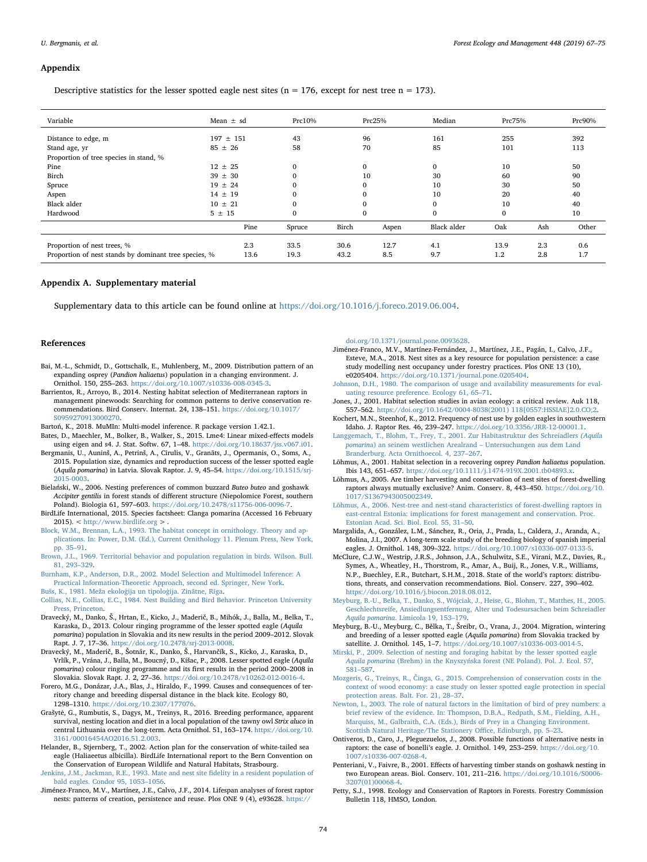#### Appendix

Descriptive statistics for the lesser spotted eagle nest sites ( $n = 176$ , except for nest tree  $n = 173$ ).

| Variable                                              | Mean $\pm$ sd |      | Prc10%       |       | Prc25%       | Median             | Prc75%       |     | Prc90% |
|-------------------------------------------------------|---------------|------|--------------|-------|--------------|--------------------|--------------|-----|--------|
| Distance to edge, m                                   | $197 \pm 151$ |      | 43           |       | 96           | 161                | 255          |     | 392    |
| Stand age, yr                                         | $85 \pm 26$   |      | 58           |       | 70           | 85                 | 101          |     | 113    |
| Proportion of tree species in stand, %                |               |      |              |       |              |                    |              |     |        |
| Pine<br>$12 \pm 25$                                   |               |      | $\Omega$     |       | $\mathbf{0}$ | $\mathbf{0}$       | 10           |     | 50     |
| Birch                                                 | $39 \pm 30$   |      |              |       | 10           | 30                 | 60           |     | 90     |
| Spruce                                                | $19 \pm 24$   |      | $\Omega$     |       | $\Omega$     | 10                 | 30           |     | 50     |
| Aspen                                                 | $14 \pm 19$   |      | $\Omega$     |       | $\Omega$     | 10                 | 20           |     | 40     |
| <b>Black alder</b>                                    | $10 \pm 21$   |      | $\Omega$     |       | $\Omega$     | $\mathbf{0}$       | 10           |     | 40     |
| Hardwood                                              | $5 \pm 15$    |      | $\mathbf{0}$ |       | $\mathbf{0}$ | $\bf{0}$           | $\mathbf{0}$ |     | 10     |
|                                                       |               | Pine | Spruce       | Birch | Aspen        | <b>Black alder</b> | Oak          | Ash | Other  |
| Proportion of nest trees, %                           |               | 2.3  | 33.5         | 30.6  | 12.7         | 4.1                | 13.9         | 2.3 | 0.6    |
| Proportion of nest stands by dominant tree species, % |               | 13.6 | 19.3         | 43.2  | 8.5          | 9.7                | 1.2          | 2.8 | 1.7    |

# Appendix A. Supplementary material

Supplementary data to this article can be found online at [https://doi.org/10.1016/j.foreco.2019.06.004.](https://doi.org/10.1016/j.foreco.2019.06.004)

#### References

- <span id="page-7-8"></span>Bai, M.-L., Schmidt, D., Gottschalk, E., Muhlenberg, M., 2009. Distribution pattern of an expanding osprey (Pandion haliaetus) population in a changing environment. J. Ornithol. 150, 255–263. [https://doi.org/10.1007/s10336-008-0345-3.](https://doi.org/10.1007/s10336-008-0345-3)
- <span id="page-7-1"></span>Barrientos, R., Arroyo, B., 2014. Nesting habitat selection of Mediterranean raptors in management pinewoods: Searching for common patterns to derive conservation recommendations. Bird Conserv. Internat. 24, 138–151. [https://doi.org/10.1017/](https://doi.org/10.1017/S0959270913000270) [S0959270913000270](https://doi.org/10.1017/S0959270913000270).
- <span id="page-7-17"></span>Bartoń, K., 2018. MuMIn: Multi-model inference. R package version 1.42.1.
- <span id="page-7-16"></span>Bates, D., Maechler, M., Bolker, B., Walker, S., 2015. Lme4: Linear mixed-effects models using eigen and s4. J. Stat. Softw. 67, 1–48. <https://doi.org/10.18637/jss.v067.i01>.
- <span id="page-7-11"></span>Bergmanis, U., Auninš, A., Petrinš, A., Cīrulis, V., Granāts, J., Opermanis, O., Soms, A., 2015. Population size, dynamics and reproduction success of the lesser spotted eagle (Aquila pomarina) in Latvia. Slovak Raptor. J. 9, 45–54. [https://doi.org/10.1515/srj-](https://doi.org/10.1515/srj-2015-0003)[2015-0003](https://doi.org/10.1515/srj-2015-0003).
- <span id="page-7-0"></span>Bielański, W., 2006. Nesting preferences of common buzzard Buteo buteo and goshawk Accipiter gentilis in forest stands of different structure (Niepolomice Forest, southern Poland). Biologia 61, 597–603. <https://doi.org/10.2478/s11756-006-0096-7>.
- <span id="page-7-10"></span>BirdLife International, 2015. Species factsheet: Clanga pomarina (Accessed 16 February 2015).  $<$  <http://www.birdlife.org>  $>$
- <span id="page-7-14"></span>[Block, W.M., Brennan, L.A., 1993. The habitat concept in ornithology. Theory and ap](http://refhub.elsevier.com/S0378-1127(19)30449-9/h0040)[plications. In: Power, D.M. \(Ed.\), Current Ornithology 11. Plenum Press, New York,](http://refhub.elsevier.com/S0378-1127(19)30449-9/h0040) [pp. 35](http://refhub.elsevier.com/S0378-1127(19)30449-9/h0040)–91.
- <span id="page-7-24"></span>[Brown, J.L., 1969. Territorial behavior and population regulation in birds. Wilson. Bull.](http://refhub.elsevier.com/S0378-1127(19)30449-9/h0045) [81, 293](http://refhub.elsevier.com/S0378-1127(19)30449-9/h0045)–329.
- <span id="page-7-18"></span>[Burnham, K.P., Anderson, D.R., 2002. Model Selection and Multimodel Inference: A](http://refhub.elsevier.com/S0378-1127(19)30449-9/h0050) [Practical Information-Theoretic Approach, second ed. Springer, New York](http://refhub.elsevier.com/S0378-1127(19)30449-9/h0050).
- <span id="page-7-19"></span>Buš[s, K., 1981. Me](http://refhub.elsevier.com/S0378-1127(19)30449-9/h0055)ža ekoloģija un tipoloģija. Zinātne, Rīga.
- <span id="page-7-29"></span>[Collias, N.E., Collias, E.C., 1984. Nest Building and Bird Behavior. Princeton University](http://refhub.elsevier.com/S0378-1127(19)30449-9/h0060) [Press, Princeton.](http://refhub.elsevier.com/S0378-1127(19)30449-9/h0060)
- <span id="page-7-13"></span>Dravecký, M., Danko, Š., Hrtan, E., Kicko, J., Maderič, B., Mihók, J., Balla, M., Belka, T., Karaska, D., 2013. Colour ringing programme of the lesser spotted eagle (Aquila pomarina) population in Slovakia and its new results in the period 2009–2012. Slovak Rapt. J. 7, 17–36. <https://doi.org/10.2478/srj-2013-0008>.
- Dravecký, M., Maderič, B., Šotnár, K., Danko, Š., Harvančík, S., Kicko, J., Karaska, D., Vrlík, P., Vrána, J., Balla, M., Boucný, D., Kišac, P., 2008. Lesser spotted eagle (Aquila pomarina) colour ringing programme and its first results in the period 2000–2008 in Slovakia. Slovak Rapt. J. 2, 27–36. <https://doi.org/10.2478/v10262-012-0016-4>.
- <span id="page-7-30"></span>Forero, M.G., Donázar, J.A., Blas, J., Hiraldo, F., 1999. Causes and consequences of territory change and breeding dispersal distance in the black kite. Ecology 80, 1298–1310. [https://doi.org/10.2307/177076.](https://doi.org/10.2307/177076)
- <span id="page-7-9"></span>Grašytė, G., Rumbutis, S., Dagys, M., Treinys, R., 2016. Breeding performance, apparent survival, nesting location and diet in a local population of the tawny owl Strix aluco in central Lithuania over the long-term. Acta Ornithol. 51, 163–174. [https://doi.org/10.](https://doi.org/10.3161/00016454AO2016.51.2.003) [3161/00016454AO2016.51.2.003.](https://doi.org/10.3161/00016454AO2016.51.2.003)
- <span id="page-7-7"></span>Helander, B., Stjernberg, T., 2002. Action plan for the conservation of white-tailed sea eagle (Haliaeetus albicilla). BirdLife International report to the Bern Convention on the Conservation of European Wildlife and Natural Habitats, Strasbourg.
- [Jenkins, J.M., Jackman, R.E., 1993. Mate and nest site](http://refhub.elsevier.com/S0378-1127(19)30449-9/h0090) fidelity in a resident population of [bald eagles. Condor 95, 1053](http://refhub.elsevier.com/S0378-1127(19)30449-9/h0090)–1056.
- <span id="page-7-28"></span>Jiménez-Franco, M.V., Martínez, J.E., Calvo, J.F., 2014. Lifespan analyses of forest raptor nests: patterns of creation, persistence and reuse. Plos ONE 9 (4), e93628. [https://](https://doi.org/10.1371/journal.pone.0093628)

[doi.org/10.1371/journal.pone.0093628.](https://doi.org/10.1371/journal.pone.0093628)

- <span id="page-7-12"></span>Jiménez-Franco, M.V., Martínez-Fernández, J., Martínez, J.E., Pagán, I., Calvo, J.F., Esteve, M.A., 2018. Nest sites as a key resource for population persistence: a case study modelling nest occupancy under forestry practices. Plos ONE 13 (10), e0205404. <https://doi.org/10.1371/journal.pone.0205404>.
- <span id="page-7-20"></span>[Johnson, D.H., 1980. The comparison of usage and availability measurements for eval](http://refhub.elsevier.com/S0378-1127(19)30449-9/h0105)[uating resource preference. Ecology 61, 65](http://refhub.elsevier.com/S0378-1127(19)30449-9/h0105)–71.
- <span id="page-7-15"></span>Jones, J., 2001. Habitat selection studies in avian ecology: a critical review. Auk 118, 557–562. [https://doi.org/10.1642/0004-8038\(2001\) 118\[0557:HSSIAE\]2.0.CO;2.](https://doi.org/10.1642/0004-8038(2001) 118[0557:HSSIAE]2.0.CO;2)
- Kochert, M.N., Steenhof, K., 2012. Frequency of nest use by golden eagles in southwestern Idaho. J. Raptor Res. 46, 239–247. [https://doi.org/10.3356/JRR-12-00001.1.](https://doi.org/10.3356/JRR-12-00001.1)
- <span id="page-7-21"></span>[Langgemach, T., Blohm, T., Frey, T., 2001. Zur Habitastruktur des Schreiadlers](http://refhub.elsevier.com/S0378-1127(19)30449-9/h0120) (Aquila pomarin[a\) an seinem westlichen Arealrand](http://refhub.elsevier.com/S0378-1127(19)30449-9/h0120) – Untersuchungen aus dem Land [Branderburg. Acta Ornithoecol. 4, 237](http://refhub.elsevier.com/S0378-1127(19)30449-9/h0120)–267.
- <span id="page-7-26"></span>Lõhmus, A., 2001. Habitat selection in a recovering osprey Pandion haliaetus population. Ibis 143, 651-657. https://doi.org/10.1111/j.1474-919X.2001.tb04893.
- Lõhmus, A., 2005. Are timber harvesting and conservation of nest sites of forest-dwelling raptors always mutually exclusive? Anim. Conserv. 8, 443–450. [https://doi.org/10.](https://doi.org/10.1017/S1367943005002349) [1017/S1367943005002349.](https://doi.org/10.1017/S1367943005002349)
- <span id="page-7-22"></span>[Lõhmus, A., 2006. Nest-tree and nest-stand characteristics of forest-dwelling raptors in](http://refhub.elsevier.com/S0378-1127(19)30449-9/h0135) [east-central Estonia: implications for forest management and conservation. Proc.](http://refhub.elsevier.com/S0378-1127(19)30449-9/h0135) [Estonian Acad. Sci. Biol. Ecol. 55, 31](http://refhub.elsevier.com/S0378-1127(19)30449-9/h0135)–50.
- <span id="page-7-27"></span>Margalida, A., González, L.M., Sánchez, R., Oria, J., Prada, L., Caldera, J., Aranda, A., Molina, J.I., 2007. A long-term scale study of the breeding biology of spanish imperial eagles. J. Ornithol. 148, 309–322. [https://doi.org/10.1007/s10336-007-0133-5.](https://doi.org/10.1007/s10336-007-0133-5)
- <span id="page-7-3"></span>McClure, C.J.W., Westrip, J.R.S., Johnson, J.A., Schulwitz, S.E., Virani, M.Z., Davies, R., Symes, A., Wheatley, H., Thorstrom, R., Amar, A., Buij, R., Jones, V.R., Williams, N.P., Buechley, E.R., Butchart, S.H.M., 2018. State of the world's raptors: distributions, threats, and conservation recommendations. Biol. Conserv. 227, 390–402. [https://doi.org/10.1016/j.biocon.2018.08.012.](https://doi.org/10.1016/j.biocon.2018.08.012)
- <span id="page-7-25"></span>[Meyburg, B.-U., Belka, T., Danko, S., Wójciak, J., Heise, G., Blohm, T., Matthes, H., 2005.](http://refhub.elsevier.com/S0378-1127(19)30449-9/h0150) [Geschlechtsreife, Ansiedlungsentfernung, Alter und Todesursachen beim Schreiadler](http://refhub.elsevier.com/S0378-1127(19)30449-9/h0150) Aquila pomarina[. Limicola 19, 153](http://refhub.elsevier.com/S0378-1127(19)30449-9/h0150)–179.
- Meyburg, B.-U., Meyburg, C., Bělka, T., Šreibr, O., Vrana, J., 2004. Migration, wintering and breeding of a lesser spotted eagle (Aquila pomarina) from Slovakia tracked by satellite. J. Ornithol. 145, 1–7. <https://doi.org/10.1007/s10336-003-0014-5>.
- <span id="page-7-23"></span>[Mirski, P., 2009. Selection of nesting and foraging habitat by the lesser spotted eagle](http://refhub.elsevier.com/S0378-1127(19)30449-9/h0160) Aquila pomarina (Brehm) in the Knyszyń[ska forest \(NE Poland\). Pol. J. Ecol. 57,](http://refhub.elsevier.com/S0378-1127(19)30449-9/h0160) 581–[587](http://refhub.elsevier.com/S0378-1127(19)30449-9/h0160).
- <span id="page-7-31"></span>Mozgeris, G., Treinys, R., Č[inga, G., 2015. Comprehension of conservation costs in the](http://refhub.elsevier.com/S0378-1127(19)30449-9/h0165) [context of wood economy: a case study on lesser spotted eagle protection in special](http://refhub.elsevier.com/S0378-1127(19)30449-9/h0165) [protection areas. Balt. For. 21, 28](http://refhub.elsevier.com/S0378-1127(19)30449-9/h0165)–37.
- <span id="page-7-4"></span>[Newton, I., 2003. The role of natural factors in the limitation of bird of prey numbers: a](http://refhub.elsevier.com/S0378-1127(19)30449-9/h0170) [brief review of the evidence. In: Thompson, D.B.A., Redpath, S.M., Fielding, A.H.,](http://refhub.elsevier.com/S0378-1127(19)30449-9/h0170) [Marquiss, M., Galbraith, C.A. \(Eds.\), Birds of Prey in a Changing Environment.](http://refhub.elsevier.com/S0378-1127(19)30449-9/h0170) [Scottish Natural Heritage/The Stationery O](http://refhub.elsevier.com/S0378-1127(19)30449-9/h0170)ffice, Edinburgh, pp. 5–23.
- <span id="page-7-6"></span>Ontiveros, D., Caro, J., Pleguezuelos, J., 2008. Possible functions of alternative nests in raptors: the case of bonelli's eagle. J. Ornithol. 149, 253–259. [https://doi.org/10.](https://doi.org/10.1007/s10336-007-0268-4) [1007/s10336-007-0268-4](https://doi.org/10.1007/s10336-007-0268-4).
- <span id="page-7-2"></span>Penteriani, V., Faivre, B., 2001. Effects of harvesting timber stands on goshawk nesting in two European areas. Biol. Conserv. 101, 211–216. [https://doi.org/10.1016/S0006-](https://doi.org/10.1016/S0006-3207(01)00068-4) [3207\(01\)00068-4](https://doi.org/10.1016/S0006-3207(01)00068-4).
- <span id="page-7-5"></span>Petty, S.J., 1998. Ecology and Conservation of Raptors in Forests. Forestry Commission Bulletin 118, HMSO, London.